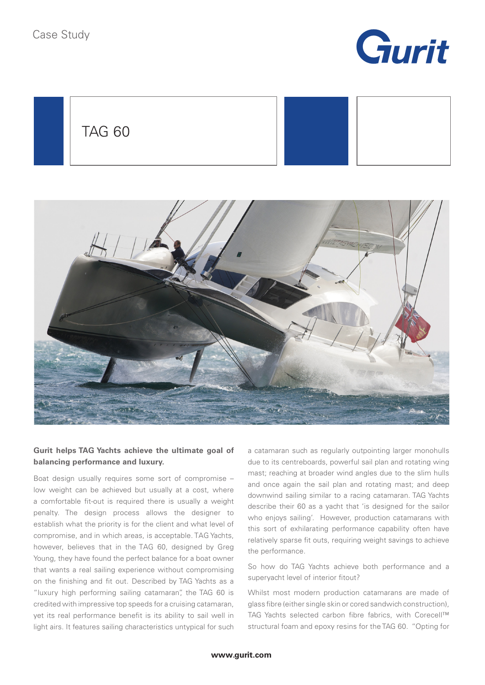

TAG 60





## **Gurit helps TAG Yachts achieve the ultimate goal of balancing performance and luxury.**

Boat design usually requires some sort of compromise – low weight can be achieved but usually at a cost, where a comfortable fit-out is required there is usually a weight penalty. The design process allows the designer to establish what the priority is for the client and what level of compromise, and in which areas, is acceptable. TAG Yachts, however, believes that in the TAG 60, designed by Greg Young, they have found the perfect balance for a boat owner that wants a real sailing experience without compromising on the finishing and fit out. Described by TAG Yachts as a "luxury high performing sailing catamaran", the TAG 60 is credited with impressive top speeds for a cruising catamaran, yet its real performance benefit is its ability to sail well in light airs. It features sailing characteristics untypical for such

a catamaran such as regularly outpointing larger monohulls due to its centreboards, powerful sail plan and rotating wing mast; reaching at broader wind angles due to the slim hulls and once again the sail plan and rotating mast; and deep downwind sailing similar to a racing catamaran. TAG Yachts describe their 60 as a yacht that 'is designed for the sailor who enjoys sailing'. However, production catamarans with this sort of exhilarating performance capability often have relatively sparse fit outs, requiring weight savings to achieve the performance.

So how do TAG Yachts achieve both performance and a superyacht level of interior fitout?

Whilst most modern production catamarans are made of glass fibre (either single skin or cored sandwich construction), TAG Yachts selected carbon fibre fabrics, with Corecell™ structural foam and epoxy resins for the TAG 60. "Opting for